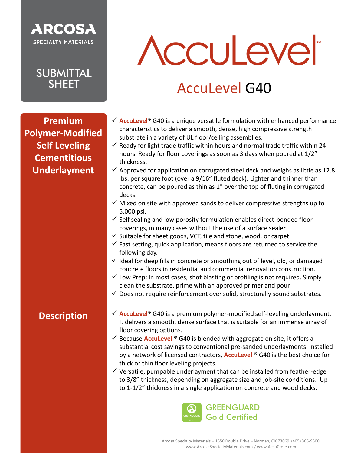

**Premium Polymer-Modified Self Leveling Cementitious Underlayment**

## Acculever

### AccuLevel G40

- ✓ **AccuLevel**® G40 is a unique versatile formulation with enhanced performance characteristics to deliver a smooth, dense, high compressive strength substrate in a variety of UL floor/ceiling assemblies.
- $\checkmark$  Ready for light trade traffic within hours and normal trade traffic within 24 hours. Ready for floor coverings as soon as 3 days when poured at 1/2" thickness.
- $\checkmark$  Approved for application on corrugated steel deck and weighs as little as 12.8 lbs. per square foot (over a 9/16" fluted deck). Lighter and thinner than concrete, can be poured as thin as 1" over the top of fluting in corrugated decks.
- $\checkmark$  Mixed on site with approved sands to deliver compressive strengths up to 5,000 psi.
- $\checkmark$  Self sealing and low porosity formulation enables direct-bonded floor coverings, in many cases without the use of a surface sealer.
- $\checkmark$  Suitable for sheet goods, VCT, tile and stone, wood, or carpet.
- $\checkmark$  Fast setting, quick application, means floors are returned to service the following day.
- $\checkmark$  Ideal for deep fills in concrete or smoothing out of level, old, or damaged concrete floors in residential and commercial renovation construction.
- $\checkmark$  Low Prep: In most cases, shot blasting or profiling is not required. Simply clean the substrate, prime with an approved primer and pour.
- $\checkmark$  Does not require reinforcement over solid, structurally sound substrates.

#### **Description**

- ✓ **AccuLevel**® G40 is a premium polymer-modified self-leveling underlayment. It delivers a smooth, dense surface that is suitable for an immense array of floor covering options.
- ✓ Because **AccuLevel** ® G40 is blended with aggregate on site, it offers a substantial cost savings to conventional pre-sanded underlayments. Installed by a network of licensed contractors, **AccuLevel** ® G40 is the best choice for thick or thin floor leveling projects.
- $\checkmark$  Versatile, pumpable underlayment that can be installed from feather-edge to 3/8" thickness, depending on aggregate size and job-site conditions. Up to 1-1/2" thickness in a single application on concrete and wood decks.

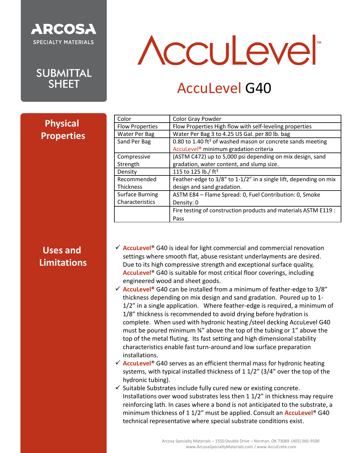

## Acculever

### AccuLevel G40

| <b>Physical</b>   |
|-------------------|
| <b>Properties</b> |

| Color Gray Powder                                                      |
|------------------------------------------------------------------------|
| Flow Properties High flow with self-leveling properties                |
| Water Per Bag 3 to 4.25 US Gal. per 80 lb. bag                         |
| 0.80 to 1.40 ft <sup>3</sup> of washed mason or concrete sands meeting |
| AccuLevel <sup>®</sup> minimum gradation criteria                      |
| (ASTM C472) up to 5,000 psi depending on mix design, sand              |
| gradation, water content, and slump size.                              |
| 115 to 125 lb./ ft <sup>3</sup>                                        |
| Feather-edge to 3/8" to 1-1/2" in a single lift, depending on mix      |
| design and sand gradation.                                             |
| ASTM E84 - Flame Spread: 0, Fuel Contribution: 0, Smoke                |
| Density: 0                                                             |
| Fire testing of construction products and materials ASTM E119 :        |
| Pass                                                                   |
|                                                                        |

### **Uses and Limitations**

- ✓ **AccuLevel**® G40 is ideal for light commercial and commercial renovation settings where smooth flat, abuse resistant underlayments are desired. Due to its high compressive strength and exceptional surface quality, **AccuLevel**® G40 is suitable for most critical floor coverings, including engineered wood and sheet goods.
- ✓ **AccuLevel**® G40 can be installed from a minimum of feather-edge to 3/8" thickness depending on mix design and sand gradation. Poured up to 1- 1/2" in a single application. Where feather-edge is required, a minimum of 1/8" thickness is recommended to avoid drying before hydration is complete. When used with hydronic heating /steel decking AccuLevel G40 must be poured minimum ¾" above the top of the tubing or 1" above the top of the metal fluting. Its fast setting and high dimensional stability characteristics enable fast turn-around and low surface preparation installations.
- ✓ **AccuLevel**® G40 serves as an efficient thermal mass for hydronic heating systems, with typical installed thickness of 1 1/2" (3/4" over the top of the hydronic tubing).
- $\checkmark$  Suitable Substrates include fully cured new or existing concrete. Installations over wood substrates less then 1 1/2" in thickness may require reinforcing lath. In cases where a bond is not anticipated to the substrate, a minimum thickness of 1 1/2" must be applied. Consult an **AccuLevel**® G40 technical representative where special substrate conditions exist.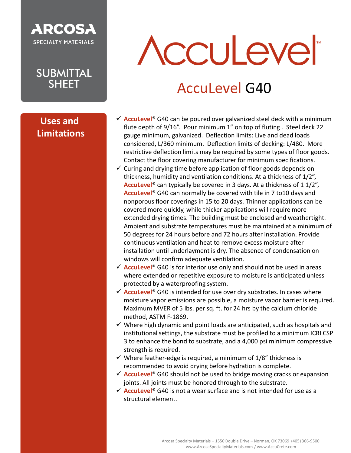

#### **Uses and Limitations**

# **Acculevel**

### AccuLevel G40

- **✓ AccuLevel<sup>®</sup> G40 can be poured over galvanized steel deck with a minimum** flute depth of 9/16". Pour minimum 1" on top of fluting . Steel deck 22 gauge minimum, galvanized. Deflection limits: Live and dead loads considered, L/360 minimum. Deflection limits of decking: L/480. More restrictive deflection limits may be required by some types of floor goods. Contact the floor covering manufacturer for minimum specifications.
- $\checkmark$  Curing and drying time before application of floor goods depends on thickness, humidity and ventilation conditions. At a thickness of 1/2", **AccuLevel**® can typically be covered in 3 days. At a thickness of 1 1/2", **AccuLevel**® G40 can normally be covered with tile in 7 to10 days and nonporous floor coverings in 15 to 20 days. Thinner applications can be covered more quickly, while thicker applications will require more extended drying times. The building must be enclosed and weathertight. Ambient and substrate temperatures must be maintained at a minimum of 50 degrees for 24 hours before and 72 hours after installation. Provide continuous ventilation and heat to remove excess moisture after installation until underlayment is dry. The absence of condensation on windows will confirm adequate ventilation.
- ✓ **AccuLevel**® G40 is for interior use only and should not be used in areas where extended or repetitive exposure to moisture is anticipated unless protected by a waterproofing system.
- ✓ **AccuLevel**® G40 is intended for use over dry substrates. In cases where moisture vapor emissions are possible, a moisture vapor barrier is required. Maximum MVER of 5 lbs. per sq. ft. for 24 hrs by the calcium chloride method, ASTM F-1869.
- $\checkmark$  Where high dynamic and point loads are anticipated, such as hospitals and institutional settings, the substrate must be profiled to a minimum ICRI CSP 3 to enhance the bond to substrate, and a 4,000 psi minimum compressive strength is required.
- $\checkmark$  Where feather-edge is required, a minimum of 1/8" thickness is recommended to avoid drying before hydration is complete.
- ✓ **AccuLevel**® G40 should not be used to bridge moving cracks or expansion joints. All joints must be honored through to the substrate.
- ✓ **AccuLevel**® G40 is not a wear surface and is not intended for use as a structural element.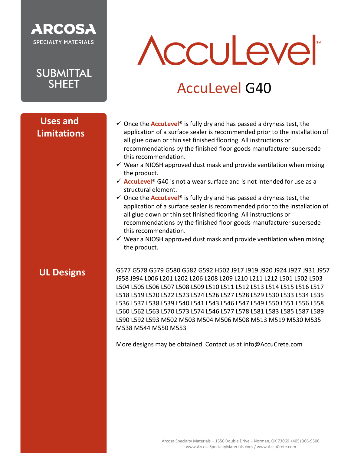

**SUBMITTAL SHFFT** 

#### **Uses and Limitations**

## Acculever

### AccuLevel G40

- ✓ Once the **AccuLevel**® is fully dry and has passed a dryness test, the application of a surface sealer is recommended prior to the installation of all glue down or thin set finished flooring. All instructions or recommendations by the finished floor goods manufacturer supersede this recommendation.
- $\checkmark$  Wear a NIOSH approved dust mask and provide ventilation when mixing the product.
- ✓ **AccuLevel**® G40 is not a wear surface and is not intended for use as a structural element.
- ✓ Once the **AccuLevel**® is fully dry and has passed a dryness test, the application of a surface sealer is recommended prior to the installation of all glue down or thin set finished flooring. All instructions or recommendations by the finished floor goods manufacturer supersede this recommendation.
- $\checkmark$  Wear a NIOSH approved dust mask and provide ventilation when mixing the product.

#### **UL Designs**

G577 G578 G579 G580 G582 G592 H502 J917 J919 J920 J924 J927 J931 J957 J958 J994 L006 L201 L202 L206 L208 L209 L210 L211 L212 L501 L502 L503 L504 L505 L506 L507 L508 L509 L510 L511 L512 L513 L514 L515 L516 L517 L518 L519 L520 L522 L523 L524 L526 L527 L528 L529 L530 L533 L534 L535 L536 L537 L538 L539 L540 L541 L543 L546 L547 L549 L550 L551 L556 L558 L560 L562 L563 L570 L573 L574 L546 L577 L578 L581 L583 L585 L587 L589 L590 L592 L593 M502 M503 M504 M506 M508 M513 M519 M530 M535 M538 M544 M550 M553

More designs may be obtained. Contact us at info@AccuCrete.com